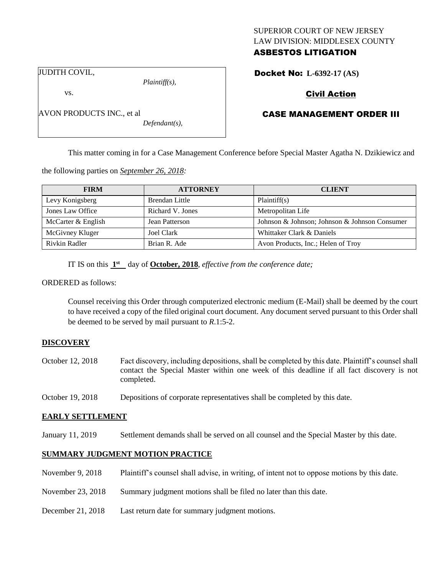# SUPERIOR COURT OF NEW JERSEY LAW DIVISION: MIDDLESEX COUNTY ASBESTOS LITIGATION

JUDITH COVIL,

vs.

AVON PRODUCTS INC., et al

*Plaintiff(s),*

*Defendant(s),*

# Civil Action

Docket No: **L-6392-17 (AS)** 

# CASE MANAGEMENT ORDER III

This matter coming in for a Case Management Conference before Special Master Agatha N. Dzikiewicz and

the following parties on *September 26, 2018:*

| <b>FIRM</b>        | <b>ATTORNEY</b>  | <b>CLIENT</b>                                 |
|--------------------|------------------|-----------------------------------------------|
| Levy Konigsberg    | Brendan Little   | Plaintiff(s)                                  |
| Jones Law Office   | Richard V. Jones | Metropolitan Life                             |
| McCarter & English | Jean Patterson   | Johnson & Johnson; Johnson & Johnson Consumer |
| McGivney Kluger    | Joel Clark       | Whittaker Clark & Daniels                     |
| Rivkin Radler      | Brian R. Ade     | Avon Products, Inc.; Helen of Troy            |

IT IS on this  $1<sup>st</sup>$  day of **October, 2018**, *effective from the conference date*;

#### ORDERED as follows:

Counsel receiving this Order through computerized electronic medium (E-Mail) shall be deemed by the court to have received a copy of the filed original court document. Any document served pursuant to this Order shall be deemed to be served by mail pursuant to *R*.1:5-2.

#### **DISCOVERY**

- October 12, 2018 Fact discovery, including depositions, shall be completed by this date. Plaintiff's counsel shall contact the Special Master within one week of this deadline if all fact discovery is not completed.
- October 19, 2018 Depositions of corporate representatives shall be completed by this date.

#### **EARLY SETTLEMENT**

January 11, 2019 Settlement demands shall be served on all counsel and the Special Master by this date.

#### **SUMMARY JUDGMENT MOTION PRACTICE**

- November 9, 2018 Plaintiff's counsel shall advise, in writing, of intent not to oppose motions by this date.
- November 23, 2018 Summary judgment motions shall be filed no later than this date.
- December 21, 2018 Last return date for summary judgment motions.